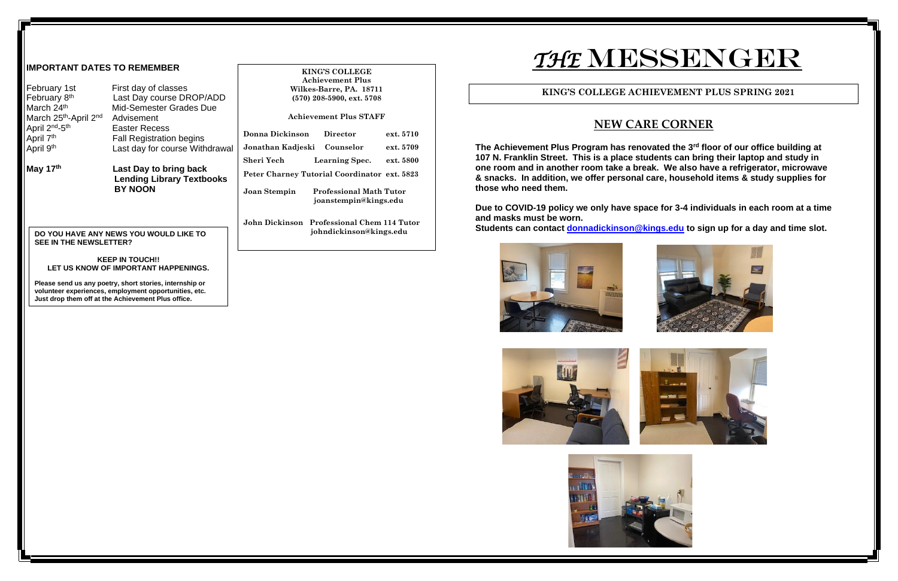**The Achievem Machim Achievem Blum in Achievem** at  $\overline{\textbf{a}}$ a place students can bring their laptop and study in **one room and in another room take a break. We also have a refrigerator, microwave & snacks. In addition, we offer personal care, household items & study supplies for** 

**Due 19 policy be Syary bo Covid Ext** in dark room at a time

**<u>Ckinson@kings.edu</u> to sign up for a day and time slot.** 







| <b>IMPORTANT DATES TO REMEMBER</b>                                           |                                                               | <b>KING'S COLLEGE</b><br><b>Achievement Plus</b>                                                 | THE N                                                                                                |
|------------------------------------------------------------------------------|---------------------------------------------------------------|--------------------------------------------------------------------------------------------------|------------------------------------------------------------------------------------------------------|
| February 1st<br>February 8 <sup>th</sup>                                     | First day of classes<br>Last Day course DROP/ADD              | Wilkes-Barre, PA. 18711<br>$(570)$ 208-5900, ext. 5708                                           | <b>KING'S COLL</b>                                                                                   |
| March 24th<br>March 25th-April 2nd<br>April 2 <sup>nd</sup> -5 <sup>th</sup> | Mid-Semester Grades Due<br>Advisement<br><b>Easter Recess</b> | <b>Achievement Plus STAFF</b>                                                                    | N                                                                                                    |
| April 7 <sup>th</sup>                                                        | <b>Fall Registration begins</b>                               | <b>Donna Dickinson</b><br><b>Director</b><br>ext. 5710                                           |                                                                                                      |
| April 9 <sup>th</sup>                                                        | Last day for course Withdrawal                                | Jonathan Kadjeski Counselor<br>ext. 5709                                                         | The Achievement Plus Program                                                                         |
| May 17th                                                                     | Last Day to bring back<br><b>Lending Library Textbooks</b>    | Sheri Yech<br><b>Learning Spec.</b><br>ext. 5800<br>Peter Charney Tutorial Coordinator ext. 5823 | 107 N. Franklin Street. This is a<br>one room and in another room<br>& snacks. In addition, we offer |
|                                                                              | <b>BY NOON</b>                                                | <b>Professional Math Tutor</b><br>Joan Stempin<br>joanstempin@kings.edu                          | those who need them.<br>Due to COVID-19 policy we only                                               |
| <b>SEE IN THE NEWSLETTER?</b>                                                | DO YOU HAVE ANY NEWS YOU WOULD LIKE TO                        | John Dickinson Professional Chem 114 Tutor<br>johndickinson@kings.edu                            | and masks must be worn.<br>Students can contact donnadic                                             |
|                                                                              | <b>KEEP IN TOUCH!!</b>                                        |                                                                                                  |                                                                                                      |

**LET US KNOW OF IMPORTANT HAPPENINGS.**

**Please send us any poetry, short stories, internship or volunteer experiences, employment opportunities, etc. Just drop them off at the Achievement Plus office.**





# $\bf \Lambda ESSENGER$

#### **LEGE ACHIEVEMENT PLUS SPRING 2021**

### **NEW CARE CORNER**